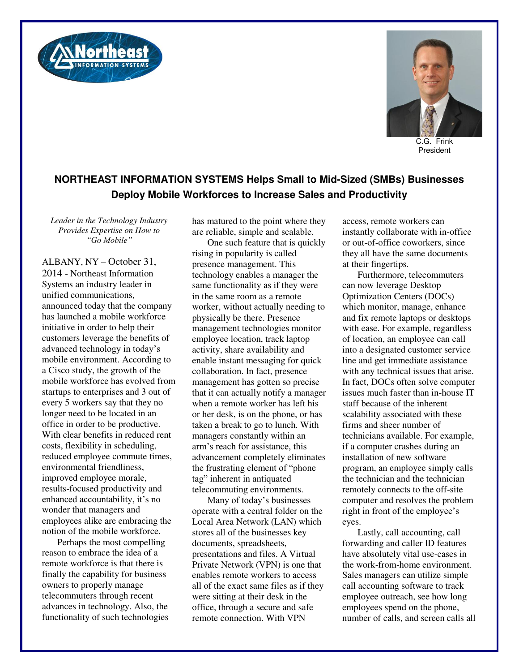



C.G. Frink President

## **NORTHEAST INFORMATION SYSTEMS Helps Small to Mid-Sized (SMBs) Businesses Deploy Mobile Workforces to Increase Sales and Productivity**

*Leader in the Technology Industry Provides Expertise on How to "Go Mobile"*

ALBANY, NY – October 31, 2014 - Northeast Information Systems an industry leader in unified communications, announced today that the company has launched a mobile workforce initiative in order to help their customers leverage the benefits of advanced technology in today's mobile environment. According to a Cisco study, the growth of the mobile workforce has evolved from startups to enterprises and 3 out of every 5 workers say that they no longer need to be located in an office in order to be productive. With clear benefits in reduced rent costs, flexibility in scheduling, reduced employee commute times, environmental friendliness, improved employee morale, results-focused productivity and enhanced accountability, it's no wonder that managers and employees alike are embracing the notion of the mobile workforce.

Perhaps the most compelling reason to embrace the idea of a remote workforce is that there is finally the capability for business owners to properly manage telecommuters through recent advances in technology. Also, the functionality of such technologies has matured to the point where they are reliable, simple and scalable.

One such feature that is quickly rising in popularity is called presence management. This technology enables a manager the same functionality as if they were in the same room as a remote worker, without actually needing to physically be there. Presence management technologies monitor employee location, track laptop activity, share availability and enable instant messaging for quick collaboration. In fact, presence management has gotten so precise that it can actually notify a manager when a remote worker has left his or her desk, is on the phone, or has taken a break to go to lunch. With managers constantly within an arm's reach for assistance, this advancement completely eliminates the frustrating element of "phone tag" inherent in antiquated telecommuting environments.

Many of today's businesses operate with a central folder on the Local Area Network (LAN) which stores all of the businesses key documents, spreadsheets, presentations and files. A Virtual Private Network (VPN) is one that enables remote workers to access all of the exact same files as if they were sitting at their desk in the office, through a secure and safe remote connection. With VPN

access, remote workers can instantly collaborate with in-office or out-of-office coworkers, since they all have the same documents at their fingertips.

Furthermore, telecommuters can now leverage Desktop Optimization Centers (DOCs) which monitor, manage, enhance and fix remote laptops or desktops with ease. For example, regardless of location, an employee can call into a designated customer service line and get immediate assistance with any technical issues that arise. In fact, DOCs often solve computer issues much faster than in-house IT staff because of the inherent scalability associated with these firms and sheer number of technicians available. For example, if a computer crashes during an installation of new software program, an employee simply calls the technician and the technician remotely connects to the off-site computer and resolves the problem right in front of the employee's eyes.

Lastly, call accounting, call forwarding and caller ID features have absolutely vital use-cases in the work-from-home environment. Sales managers can utilize simple call accounting software to track employee outreach, see how long employees spend on the phone, number of calls, and screen calls all